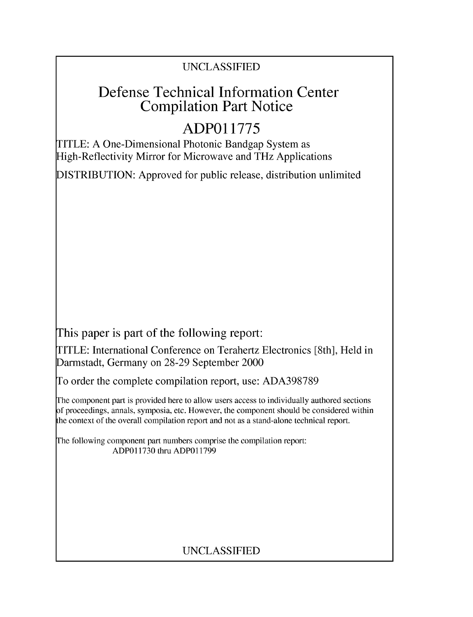## UNCLASSIFIED

## Defense Technical Information Center Compilation Part Notice

# **ADPO1 1775**

TITLE: A One-Dimensional Photonic Bandgap System as High-Reflectivity Mirror for Microwave and THz Applications

DISTRIBUTION: Approved for public release, distribution unlimited

This paper is part of the following report:

TITLE: International Conference on Terahertz Electronics [8th], Held in Darmstadt, Germany on 28-29 September 2000

To order the complete compilation report, use: ADA398789

The component part is provided here to allow users access to individually authored sections f proceedings, annals, symposia, etc. However, the component should be considered within [he context of the overall compilation report and not as a stand-alone technical report.

The following component part numbers comprise the compilation report: ADPO11730 thru ADP011799

## UNCLASSIFIED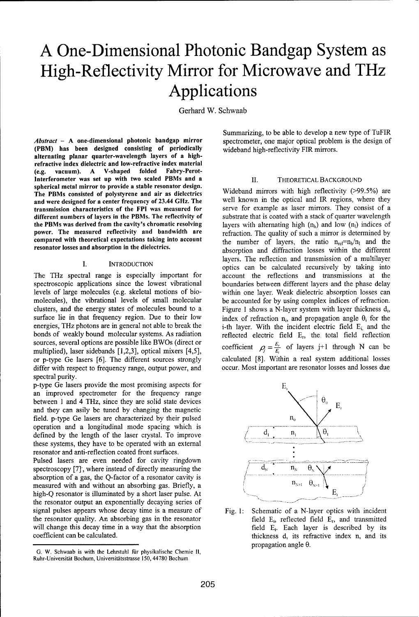# **A** One-Dimensional Photonic Bandgap System as High-Reflectivity Mirror for Microwave and THz Applications

Gerhard W. Schwaab

(PBM) has been designed consisting of periodically wideband high-reflectivity FIR mirrors. alternating planar quarter-wavelength layers of a highrefractive index dielectric and low-refractive index material<br>(e.g. vacuum). A V-shaped folded Fabry-Perot-(e.g. vacuum). A V-shaped folded Interferometer was set up with two scaled PBMs and a **II.** THEORETICAL BACKGROUND spherical metal mirror to provide a stable resonator design. Spierical literary literary in the provide a stable resolution design.<br>The PBMs consisted of polystyrene and air as dielectrics wideband mirrors with high reflectivity (>99.5%) are<br>and were designed for a center frequency and were designed for a center frequency of 23.44 GHz. The transmission characteristics of the FPI was measured for different numbers of layers in the PBMs. The reflectivity of the PBMs was derived from the cavity's chromatic resolving power. The measured reflectivity and bandwidth are refraction. The quality of such a mirror is determined by compared with theoretical expectations taking into account the number of layers, the ratio  $n_{\text{ref}} = n_h/n_l$  and the resonator losses and absorption in the dielectrics.

### I.

The THz spectral range is especially important for account the reflections and transmissions at the spectroscopic applications since the lowest vibrational boundaries between different layers and the phase delay levels of large molecules (e.g. skeletal motions of bio- within one layer. Weak dielectric absorption losses can molecules), the vibrational levels of small molecular be accounted for by using complex indices of refraction. clusters, and the energy states of molecules bound to a Figure 1 shows a N-layer system with layer thickness **di,** surface lie in that frequency region. Due to their low index of refraction  $n_i$ , and propagation angle  $\theta_i$  for the energies, THz photons are in general not able to break the i-th layer. With the incident electric field  $E_i$  and the bonds of weakly bound molecular systems. As radiation reflected electric field E<sub>r</sub>, the total field reflection sources, several options are possible like BWOs (direct or coefficient  $\rho_i = \frac{E_i}{E}$  of layers j+1 through N can be multiplied) laser sidebands [1 2 3] optical mixers [4 5] multiplied), laser sidebands [1,2,3], optical mixers [4,5],<br>or p-type Ge lasers [6]. The different sources strongly calculated [8]. Within a real system additional losses or p-type Ge lasers [6]. The different sources strongly calculated [8]. Within a real system additional losses<br>differ with respect to frequency range, output power, and occur. Most important are resonator losses and losses differ with respect to frequency range, output power, and spectral purity.

p-type Ge lasers provide the most promising aspects for **E,** an improved spectrometer for the frequency range between 1 and 4 THz, since they are solid state devices  $\begin{bmatrix} \theta_0 \\ \end{bmatrix}$  E and they can asily be tuned by changing the magnetic field. p-type Ge lasers are characterized by their pulsed  $n<sub>0</sub>$ operation and a longitudinal mode spacing which is  $\overline{d_1}$   $\overline{d_2}$ defined by the length of the laser crystal. To improve  $\begin{pmatrix} d_1 & n_1 \\ n_2 & \cdots & n_n \end{pmatrix}$ these systems, they have to be operated with an external resonator and anti-reflection coated front surfaces.

Pulsed lasers are even needed for cavity ringdown<br>spectroscopy [7], where instead of directly measuring the  $\overline{d_x}$   $\overline{n_y}$ spectroscopy [7], where instead of directly measuring the  $\frac{d_N}{d_N}$   $\frac{n_N}{n_N}$   $\frac{\theta_N}{n_N}$ absorption of a gas, the Q-factor of a resonator cavity is measured with and without an absorbing gas. Briefly, a  $n_{N+1}$ high-Q resonator is illuminated by a short laser pulse. At **-ý ".** . . **.......**  the resonator output an exponentially decaying series of signal pulses appears whose decay time is a measure of Fig. 1: Schematic of a N-layer optics with incident the resonator quality. An absorbing gas in the resonator field **Ei,** reflected field **E,,** and transmitted will change this decay time in a way that the absorption field E<sub>t</sub>. Each layer is described by its coefficient can be calculated. This coefficient can be calculated. This refractive index n, and its refractive index n, and its

Summarizing, to be able to develop a new type of TuFIR *Abstract* - A one-dimensional photonic bandgap mirror spectrometer, one major optical problem is the design of

serve for example as laser mirrors. They consist of a substrate that is coated with a stack of quarter wavelength layers with alternating high  $(n_h)$  and low  $(n_l)$  indices of absorption and diffraction losses within the different layers. The reflection and transmission of a multilayer **INTRODUCTION SECULATE: SECULATE: SECULATE: SECULATE: SECULATE: SECULATE: SECULATE: SECULATE: SECULATE: SECULATE: SECULATE: SECULATE: SECULATE: SECULATE: SECULATE: SECULATE: SECULATE: SE** 



propagation angle  $\theta$ .

G. W. Schwaab is with the Lehrstuhl ffir physikalische Chemie II, Ruhr-Universität Bochum, Universitätsstrasse 150, 44780 Bochum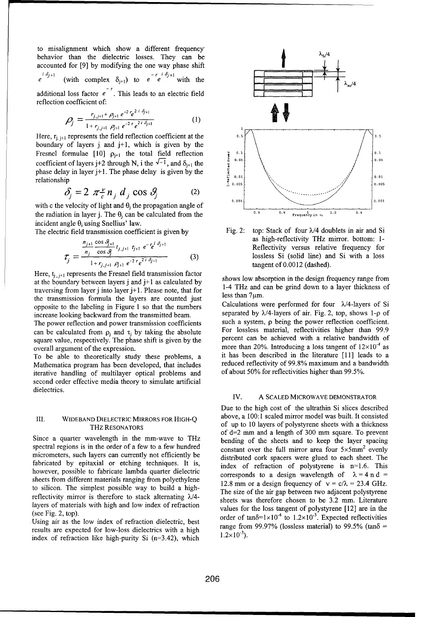to misalignment which show a different frequency behavior than the dielectric losses. They can be  $\lambda_{s/4}$ accounted for [9] by modifying the one way phase shift<br>  $e^{i \delta_{j+1}}$  (with complex s) to  $e^{-r}e^{i \delta_{j+1}}$ (with complex  $\delta_{j+1}$ ) to  $e^{-r}e^{i\delta_{j+1}}$  with the additional loss factor  $e^{\prime}$ . This leads to an electric field reflection coefficient of:

$$
\rho_j = \frac{r_{j,j+1} + \rho_{j+1} e^{-2 r} e^{2 i \delta_{j+1}}}{1 + r_{j,j+1} \rho_{j+1} e^{-2 r} e^{2 i \delta_{j+1}}}
$$
(1)

Here,  $\mathbf{r}_{i, j+1}$  represents the field reflection coefficient at the  $\mathbf{r}_{i+1}$   $\mathbf{r}_{i+1}$  represents the field reflection coefficient at the  $\mathbf{r}_{i+1}$ boundary of layers  $j$  and  $j+1$ , which is given by the coefficient of layers j+2 through N, i the  $\sqrt{-1}$ , and  $\delta_{i+1}$  the phase delay in layer j+ **1.** The phase delay is given by the

$$
\delta_j = 2 \pi \frac{\nu}{c} n_j d_j \cos \theta_j \tag{2}
$$

with c the velocity of light and  $\theta_i$  the propagation angle of the radiation in layer j. The  $\theta_i$  can be calculated from the **0.8 0.8 Exequency** in  $x_i = \frac{1.2}{1.2}$  **1.4** incident angle  $\theta_i$  using Snellius' law.

$$
\mathcal{T}_j = \frac{\frac{n_{j+1}}{n_j} \frac{\cos \theta_{j+1}}{\cos \theta} t_{j,j+1} \tau_{j+1} e^{-\tau} e^{i \theta_{j+1}}}{1 + r_{j,j+1} \rho_{j+1} e^{-2 \tau} e^{2 i \theta_{j+1}}} \tag{3}
$$

Here,  $t_{i,j+1}$  represents the Fresnel field transmission factor at the boundary between layers j and j+1 as calculated by shows low absorption in the design frequency range from<br>the boundary between layers j and j+1 as calculated by shows low absorption in the design frequency range f traversing from layer j into layer j+1. Please note, that for  $1-4$  THz and can be grind down to a layer the layer are counted just less than 7 $\mu$ m. the transmission formula the layers are counted just opposite to the labeling in Figure 1 so that the numbers Calculations were performed for four  $\lambda$ /4-layers of Si

can be calculated from  $p_j$  and  $\tau_j$  by taking the absolute For lossless material, reflectivities higher than 99.9<br>square value respectively. The phase shift is given by the percent can be achieved with a relative bandwi square value, respectively. The phase shift is given by the

Mathematica program has been developed, that includes reduced reflectivity of 99.8% maximum and a bandling of multilaver ontical problems and of about 50% for reflectivities higher than 99.5%. iterative handling of multilayer optical problems and second order effective media theory to simulate artificial dielectrics.

spectral regions is in the order of a few to a few hundred constant over the full mirror area four  $5 \times 5$ mm<sup>2</sup> evenly micrometers, such layers can currently not efficiently be distributed cork spacers were glued to each sheet. The fabricated by epitaxial or etching techniques. It is, index of refraction of polystyrene is n=1.6. This however, possible to fabricate lambda quarter dielectric corresponds to a design wavelength of  $\lambda = 4$  n d = sheets from different materials ranging from polyethylene 12.8 mm or a design frequency of  $v = c/\lambda = 23.4$  GHz. to silicon. The simplest possible way to build a high-<br>The size of the air gap between two adjacent polystyrene reflectivity mirror is therefore to stack alternating  $\lambda/4$ -<br>sheets was therefore chosen to be 3.2 mm. Literature layers of materials with high and low index of refraction values for the loss tangent of polystyrene [12] are in the

Using air as the low index of refraction dielectric, best results are expected for low-loss dielectrics with a high range from 99.97% (lossless material) to 99.5% (tan $\delta$  = index of refrection like high range from  $(1.2 \times 10^{-3})$ . index of refraction like high-purity Si  $(n=3.42)$ , which



The electric field transmission coefficient is given by Fig. 2: top: Stack of four  $\lambda/4$  doublets in air and Si as high-reflectivity THz mirror, bottom: 1-**Reflectivity versus relative frequency for** lossless Si (solid line) and Si with a loss tangent of 0.0012 (dashed).

increase looking backward from the transmitted beam.<br>Separated by  $\lambda/4$ -layers of air. Fig. 2, top, shows 1-p of<br>The nower reflection and nower transmission coefficients such a system, p being the power reflection coeffi The power reflection and power transmission coefficients such a system, p being the power reflection coefficient.<br>  $\frac{1}{2}$  can be calculated from 0. and  $\tau$  by taking the absolute of lossless material, reflectivities h overall argument of the expression.<br>
To be able to theoretically study these problems a it has been described in the literature [11] leads to a To be able to theoretically study these problems, a it has been described in the literature [11] leads to a<br>Mathematica program has been developed that includes reduced reflectivity of 99.8% maximum and a bandwidth

### IV. A **SCALED** MICROWAVE DEMONSTRATOR

Due to the high cost of the ultrathin Si slices described III. **WIDEBAND** DIELECTRIC MIRRORS FOR **HIGH-Q** above, a 100:1 scaled mirror model was built. It consisted THZ RESONATORS OR THOT Q of up to 10 layers of polystyrene sheets with a thickness of  $d=2$  mm and a length of 300 mm square. To prevent Since a quarter wavelength in the mm-wave to THz bending of the sheets and to keep the layer spacing (see Fig. 2, top).<br>  $\frac{1}{2}$  to  $\frac{1}{2}$  and  $\frac{1}{2}$  and  $\frac{1}{2}$  are the law index of order of tank the three sings of tanks 1.2x10<sup>-4</sup> to 1.2x10<sup>-3</sup>. Expected reflectivities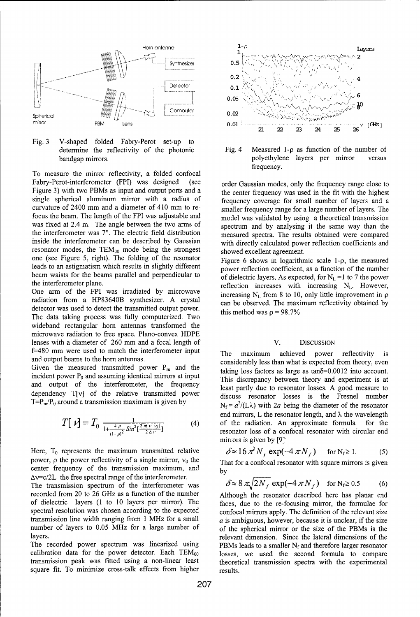

Fig. 3 V-shaped folded Fabry-Perot set-up to determine the reflectivity of the photonic Fig. 4 Measured 1-p as function of the number of

To measure the mirror reflectivity, a folded confocal Fabry-Perot-interferometer (FPI) was designed (see order Gaussian modes, only the frequency range close to Figure 3) with two PBMs as input and output ports and a the center frequency was used in the fit with the highest single spherical aluminum mirror with a radius of frequency coverage for small number of layers and a curvature of 2400 mm and a diameter of 410 mm to re-<br>smaller frequency range for a large number of layers. The focus the beam. The length of the FPI was adjustable and model was validated by using a theoretical transmission was fixed at 2.4 m. The angle between the two arms of spectrum and by analysing it the same way than the the interferometer was **7'.** The electric field distribution measured spectra. The results obtained were compared inside the interferometer can be described by Gaussian with directly calculated power reflection coefficients and resonator modes, the  $TEM_{00}$  mode being the strongest showed excellent agreement. one (see Figure 5, right). The folding of the resonator Figure 6 shows in logarithmic scale 1- $\rho$ , the measured leads to an astigmatism which results in slightly different power reflection coefficient, as a function of the number beam waists for the beams parallel and perpendicular to of dielectric layers. As expected, for  $N_L = 1$  to 7 the power

radiation from a HP83640B synthesizer. A crystal can be observed. The maximum reflectivity obtained by detector was used to detect the transmitted output power. this method was  $p = 98.7\%$ The data taking process was fully computerized. Two wideband rectangular horn antennas transformed the microwave radiation to free space. Plano-convex HDPE lenses with a diameter of 260 mm and a focal length of V. DISCUSSION f=480 mm were used to match the interferometer input The maximum achieved power reflectivity is

incident power  $P_0$  and assuming identical mirrors at input This discrepancy between theory and experiment is at and output of the interferometer, the frequency least partly due to resonator losses. A good measure to dependency T[v] of the relative transmitted power discuss resonator losses is the Fresnel number T=P<sub>m</sub>/P<sub>0</sub> around a transmission maximum is given by

$$
T[\nu] = T_0 \frac{1}{1 + \frac{4 \rho}{(1 - \rho)^2} \sin^2[\frac{2 \pi (\nu - i_0)}{2 \Delta \nu}]} \tag{4}
$$

power,  $\rho$  the power reflectivity of a single mirror,  $v_0$  the That for a confocal resonator with square mirrors is given center frequency of the transmission maximum, and  $\overline{b_y}$  $\Delta v = c/2L$  the free spectral range of the interferometer.

The transmission spectrum of the interferometer was recorded from 20 to 26 GHz as a function of the number Although the resonator described here has planar end of dielectric layers (1 to 10 layers per mirror). The faces, due to the re-focusing mirror, the formulae for spectral resolution was chosen according to the expected confocal mirrors apply. The definition of the relevant size transmission line width ranging from 1 MHz for a small  $\alpha$  is ambiguous, however, because it is unclear, if the size number of layers to 0.05 MHz for a large number of of the spherical mirror or the size of the PBMs is the

calibration data for the power detector. Each  $TEM_{00}$  losses, we used the second formula to compare transmission peak was fitted using a non-linear least theoretical transmission spectra with the experimental square fit. To minimize cross-talk effects from higher results.



bandgap mirrors. polyethylene layers per mirror versus frequency.

the interferometer plane. reflection increases with increasing  $N_L$ . However, One arm of the FPI was irradiated by microwave increasing  $N_L$  from 8 to 10, only little improvement in  $\rho$ 

and output beams to the horn antennas.<br>considerably less than what is expected from theory, even Given the measured transmitted power  $P_m$  and the taking loss factors as large as tan $\delta$ =0.0012 into account.  $N_f = a^2/(L\lambda)$  with 2*a* being the diameter of the resonator end mirrors, L the resonator length, and  $\lambda$  the wavelength <sup>L</sup>*O=T* **0** *1+ 4 22 (* (4) of the radiation. An approximate formula for the resonator loss of a confocal resonator with circular end mirrors is given by **[9]**

Here, T<sub>0</sub> represents the maximum transmitted relative  $\delta \approx 16 \pi^2 N_f \exp(-4 \pi N_f)$  for  $N_f \ge 1$ . (5)

$$
\delta \approx 8 \pi \sqrt{2N_f} \exp(-4 \pi N_f) \quad \text{for } N_f \ge 0.5 \tag{6}
$$

layers. The lateral dimension of the lateral dimensions of the lateral dimensions of the lateral dimensions of the lateral dimensions of the lateral dimensions of the lateral dimensions of the lateral dimensions of the lat The recorded power spectrum was linearized using PBMs leads to a smaller N<sub>f</sub> and therefore larger resonator